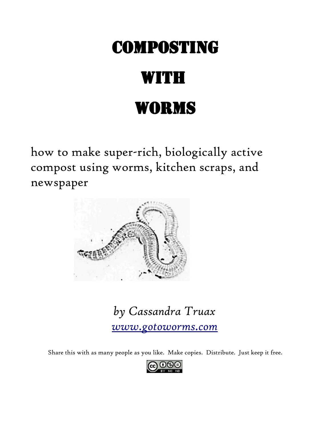## **COMPOSTING**

# **WITH** Worms

how to make super-rich, biologically active compost using worms, kitchen scraps, and newspaper



*by Cassandra Truax [www.gotoworms.com](http://www.gotoworms.com/)*

Share this with as many people as you like. Make copies. Distribute. Just keep it free.

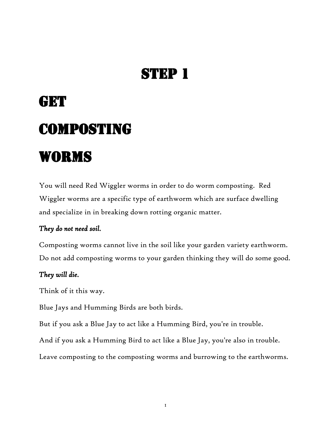# **GET COMPOSTING** Worms

You will need Red Wiggler worms in order to do worm composting. Red Wiggler worms are a specific type of earthworm which are surface dwelling and specialize in in breaking down rotting organic matter.

#### *They do not need soil.*

Composting worms cannot live in the soil like your garden variety earthworm. Do not add composting worms to your garden thinking they will do some good.

#### *They will die.*

Think of it this way.

Blue Jays and Humming Birds are both birds.

But if you ask a Blue Jay to act like a Humming Bird, you're in trouble.

And if you ask a Humming Bird to act like a Blue Jay, you're also in trouble.

Leave composting to the composting worms and burrowing to the earthworms.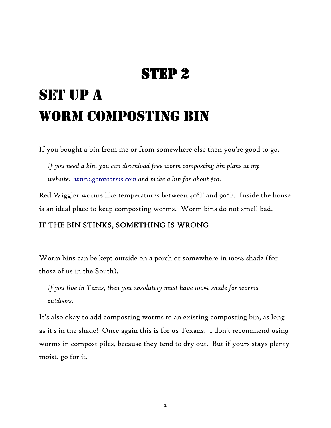## SET UP A WORM COMPOSTING BIN

If you bought a bin from me or from somewhere else then you're good to go.

*If you need a bin, you can download free worm composting bin plans at my website: [www.gotoworms.com](http://www.gotoworms.com/) and make a bin for about \$10.*

Red Wiggler worms like temperatures between 40°F and 90°F. Inside the house is an ideal place to keep composting worms. Worm bins do not smell bad.

#### IF THE BIN STINKS, SOMETHING IS WRONG

Worm bins can be kept outside on a porch or somewhere in 100% shade (for those of us in the South).

*If you live in Texas, then you absolutely must have 100% shade for worms outdoors.*

It's also okay to add composting worms to an existing composting bin, as long as it's in the shade! Once again this is for us Texans. I don't recommend using worms in compost piles, because they tend to dry out. But if yours stays plenty moist, go for it.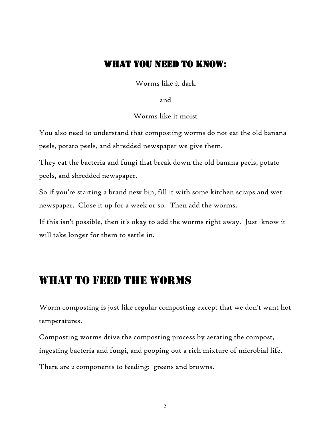#### WHAT YOU NEED TO KNOW:

Worms like it dark

and

Worms like it moist

You also need to understand that composting worms do not eat the old banana peels, potato peels, and shredded newspaper we give them.

They eat the bacteria and fungi that break down the old banana peels, potato peels, and shredded newspaper.

So if you're starting a brand new bin, fill it with some kitchen scraps and wet newspaper. Close it up for a week or so. Then add the worms.

If this isn't possible, then it's okay to add the worms right away. Just know it will take longer for them to settle in.

### What to Feed the Worms

Worm composting is just like regular composting except that we don't want hot temperatures.

Composting worms drive the composting process by aerating the compost, ingesting bacteria and fungi, and pooping out a rich mixture of microbial life. There are 2 components to feeding: greens and browns.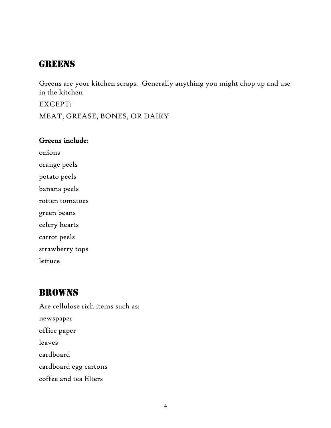### **GREENS**

Greens are your kitchen scraps. Generally anything you might chop up and use in the kitchen

EXCEPT:

MEAT, GREASE, BONES, OR DAIRY

#### Greens include:

onions orange peels potato peels banana peels rotten tomatoes green beans celery hearts carrot peels strawberry tops

lettuce

### Browns

Are cellulose rich items such as: newspaper office paper leaves cardboard cardboard egg cartons coffee and tea filters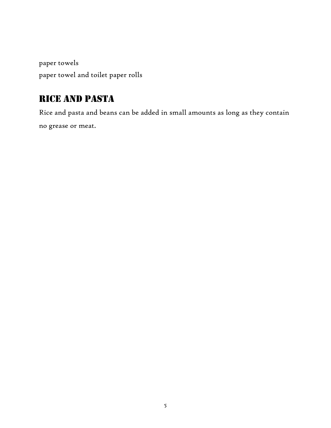paper towels paper towel and toilet paper rolls

### Rice and Pasta

Rice and pasta and beans can be added in small amounts as long as they contain no grease or meat.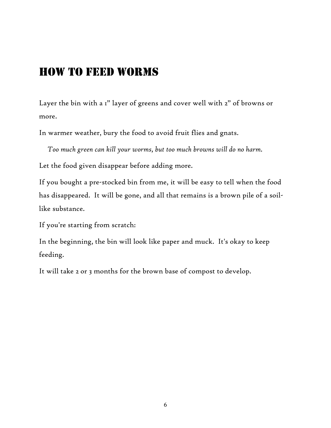### How to Feed Worms

Layer the bin with a 1" layer of greens and cover well with 2" of browns or more.

In warmer weather, bury the food to avoid fruit flies and gnats.

*Too much green can kill your worms, but too much browns will do no harm.*

Let the food given disappear before adding more.

If you bought a pre-stocked bin from me, it will be easy to tell when the food has disappeared. It will be gone, and all that remains is a brown pile of a soillike substance.

If you're starting from scratch:

In the beginning, the bin will look like paper and muck. It's okay to keep feeding.

It will take 2 or 3 months for the brown base of compost to develop.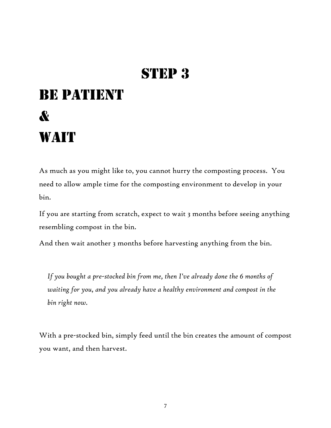## **BE PATIENT** & **WAIT**

As much as you might like to, you cannot hurry the composting process. You need to allow ample time for the composting environment to develop in your bin.

If you are starting from scratch, expect to wait 3 months before seeing anything resembling compost in the bin.

And then wait another 3 months before harvesting anything from the bin.

*If you bought a pre-stocked bin from me, then I've already done the 6 months of waiting for you, and you already have a healthy environment and compost in the bin right now.*

With a pre-stocked bin, simply feed until the bin creates the amount of compost you want, and then harvest.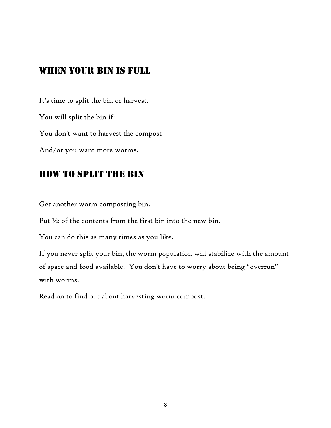### When your bin is full

It's time to split the bin or harvest. You will split the bin if: You don't want to harvest the compost And/or you want more worms.

### How to Split the Bin

Get another worm composting bin.

Put ½ of the contents from the first bin into the new bin.

You can do this as many times as you like.

If you never split your bin, the worm population will stabilize with the amount of space and food available. You don't have to worry about being "overrun" with worms.

Read on to find out about harvesting worm compost.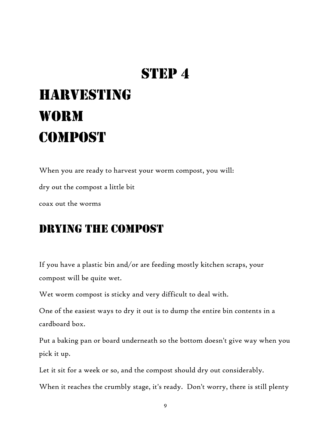## **HARVESTING WORM COMPOST**

When you are ready to harvest your worm compost, you will: dry out the compost a little bit coax out the worms

## Drying the compost

If you have a plastic bin and/or are feeding mostly kitchen scraps, your compost will be quite wet.

Wet worm compost is sticky and very difficult to deal with.

One of the easiest ways to dry it out is to dump the entire bin contents in a cardboard box.

Put a baking pan or board underneath so the bottom doesn't give way when you pick it up.

Let it sit for a week or so, and the compost should dry out considerably.

When it reaches the crumbly stage, it's ready. Don't worry, there is still plenty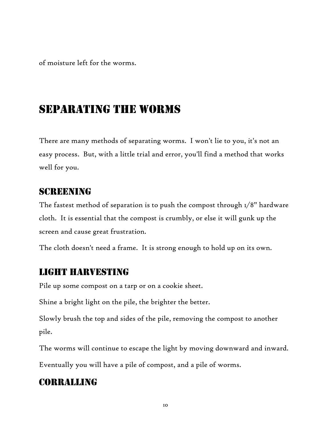of moisture left for the worms.

### Separating the worms

There are many methods of separating worms. I won't lie to you, it's not an easy process. But, with a little trial and error, you'll find a method that works well for you.

#### **SCREENING**

The fastest method of separation is to push the compost through 1/8" hardware cloth. It is essential that the compost is crumbly, or else it will gunk up the screen and cause great frustration.

The cloth doesn't need a frame. It is strong enough to hold up on its own.

#### LIGHT HARVESTING

Pile up some compost on a tarp or on a cookie sheet.

Shine a bright light on the pile, the brighter the better.

Slowly brush the top and sides of the pile, removing the compost to another pile.

The worms will continue to escape the light by moving downward and inward.

Eventually you will have a pile of compost, and a pile of worms.

### Corralling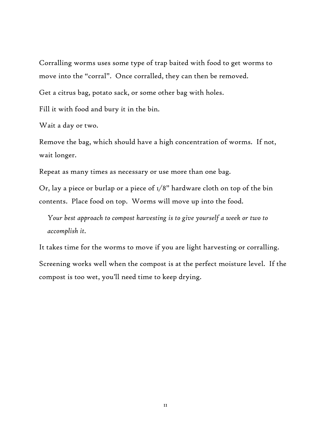Corralling worms uses some type of trap baited with food to get worms to move into the "corral". Once corralled, they can then be removed.

Get a citrus bag, potato sack, or some other bag with holes.

Fill it with food and bury it in the bin.

Wait a day or two.

Remove the bag, which should have a high concentration of worms. If not, wait longer.

Repeat as many times as necessary or use more than one bag.

Or, lay a piece or burlap or a piece of  $1/8$ " hardware cloth on top of the bin contents. Place food on top. Worms will move up into the food.

*Your best approach to compost harvesting is to give yourself a week or two to accomplish it.* 

It takes time for the worms to move if you are light harvesting or corralling. Screening works well when the compost is at the perfect moisture level. If the compost is too wet, you'll need time to keep drying.